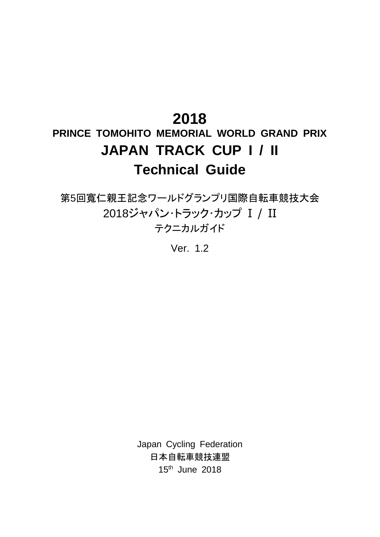# **2018**

# **PRINCE TOMOHITO MEMORIAL WORLD GRAND PRIX JAPAN TRACK CUP I / II Technical Guide**

第5回寬仁親王記念ワールドグランプリ国際自転車競技大会 2018ジャパン・トラック・カップ I / II テクニカルガイド

Ver. 1.2

Japan Cycling Federation 日本自転車競技連盟 15 th June 2018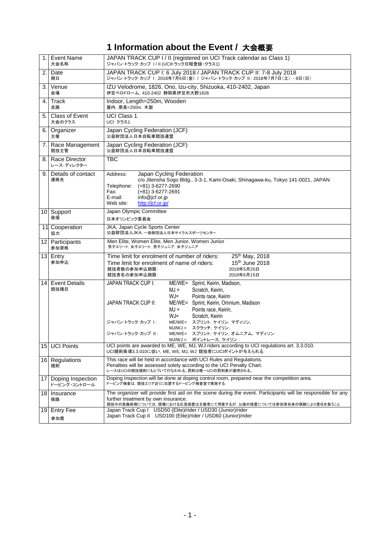# **1 Information about the Event /** 大会概要

| 1.              | <b>Event Name</b><br>大会名称         | JAPAN TRACK CUP I / II (registered on UCI Track calendar as Class 1)<br>ジャパン・トラック・カップ I/II (UCIトラック日程登録・クラス1)                                                                                                                                                                                                                                                                                                            |
|-----------------|-----------------------------------|--------------------------------------------------------------------------------------------------------------------------------------------------------------------------------------------------------------------------------------------------------------------------------------------------------------------------------------------------------------------------------------------------------------------------|
| 2.              | Date<br>期日                        | JAPAN TRACK CUP I: 6 July 2018 / JAPAN TRACK CUP II: 7-8 July 2018<br>ジャパン・トラック・カップ 1: 2018年7月6日(金) / ジャパン・トラック・カップ II: 2018年7月7日(土) - 8日(日)                                                                                                                                                                                                                                                                             |
| 3.              | Venue<br>会場                       | IZU Velodrome, 1826, Ono, Izu-city, Shizuoka, 410-2402, Japan<br>伊豆ベロドローム, 410-2402 静岡県伊豆市大野1826                                                                                                                                                                                                                                                                                                                         |
| 4.              | Track<br>走路                       | Indoor, Length=250m, Wooden<br>屋内, 周長=250m, 木製                                                                                                                                                                                                                                                                                                                                                                           |
| 5.              | Class of Event<br>大会のクラス          | <b>UCI Class 1</b><br>UCI クラス1                                                                                                                                                                                                                                                                                                                                                                                           |
| 6.              | Organizer<br>主催                   | Japan Cycling Federation (JCF)<br>公益財団法人日本自転車競技連盟                                                                                                                                                                                                                                                                                                                                                                        |
| 7.              | Race Management<br>競技主管           | Japan Cycling Federation (JCF)<br>公益財団法人日本自転車競技連盟                                                                                                                                                                                                                                                                                                                                                                        |
| 8.1             | Race Director<br>レース・ディレクター       | <b>TBC</b>                                                                                                                                                                                                                                                                                                                                                                                                               |
| 9.              | Details of contact<br>連絡先         | Address:<br>Japan Cycling Federation<br>c/o Jitensha Sogo Bldg., 3-3-1, Kami-Osaki, Shinagawa-ku, Tokyo 141-0021, JAPAN<br>$(+81)$ 3-6277-2690<br>Telephone:<br>Fax:<br>$(+81)$ 3-6277-2691<br>E-mail:<br>info@jcf.or.jp<br>http://icf.or.ip/<br>Web site:                                                                                                                                                               |
| 10 <sup>1</sup> | Support<br>後援                     | Japan Olympic Committee<br>日本オリンピック委員会                                                                                                                                                                                                                                                                                                                                                                                   |
|                 | 11 Cooperation<br>協力              | JKA, Japan Cycle Sports Center<br>公益財団法人JKA、一般財団法人日本サイクルスポーツセンター                                                                                                                                                                                                                                                                                                                                                         |
|                 | 12 Participants                   | Men Elite, Women Elite, Men Junior, Women Junior                                                                                                                                                                                                                                                                                                                                                                         |
|                 | 参加資格                              | 男子エリート、女子エリート、男子ジュニア、女子ジュニア                                                                                                                                                                                                                                                                                                                                                                                              |
|                 | 13 Entry<br>参加申込                  | Time limit for enrolment of number of riders:<br>25th May, 2018<br>$15th$ June 2018<br>Time limit for enrolment of name of riders:<br>競技者数の参加申込期限:<br>2018年5月25日<br>競技者名の参加申込期限:<br>2018年6月15日                                                                                                                                                                                                                           |
| 14 <sup>1</sup> | <b>Event Details</b><br>競技種目      | JAPAN TRACK CUP I:<br>ME/WE=<br>Sprint, Keirin, Madison,<br>$MJ =$<br>Scratch, Keirin,<br>$WJ =$<br>Points race, Keirin<br><b>JAPAN TRACK CUP II:</b><br>ME/WE= Sprint, Keirin, Omnium, Madison<br>$MJ =$<br>Points race, Keirin,<br>$WJ =$<br>Scratch, Keirin<br>ジャパン・トラック・カップ 1:<br>ME/WE= スプリント, ケイリン, マディソン,<br>MJ/WJ = スクラッチ、ケイリン、<br>ME/WE= スプリント, ケイリン, オムニアム, マディソン<br>ジャパン・トラック・カップ Ⅱ:<br>MJ/WJ = ポイントレース, ケイリン |
| 15              | <b>UCI Points</b>                 | UCI points are awarded to ME, WE, MJ, WJ riders according to UCI regulations art. 3.3.010.<br>UCI規則条項3.3.010に従い, ME, WE, MJ, WJ 競技者にUCIポイントが与えられる.                                                                                                                                                                                                                                                                       |
| 16 <sup>1</sup> | Regulations<br>規則                 | This race will be held in accordance with UCI Rules and Regulations.<br>Penalties will be assessed solely according to the UCI Penalty Chart.<br>レースはUCIの競技規則にもとづいて行なわれる。罰則は唯一UCIの罰則表が適用される。                                                                                                                                                                                                                             |
| 17              | Doping Inspection<br>ドーピング・コントロール | Doping Inspection will be done at doping control room, prepared near the competition area.<br>ドーピング検査は、競技エリア近くに位置するドーピング検査室で実施する.                                                                                                                                                                                                                                                                                        |
| 18              | Insurance<br>保険<br>Entry Fee      | The organizer will provide first aid on the scene during the event. Participants will be responsible for any<br>further treatment by own insurance.<br>競技中の負傷疾病については,現場における応急措置は主催者にて用意するが,以後の措置については参加者自身の保険により責任を負うこと.<br>Japan Track Cup I USD50 (Elite)/rider / USD30 (Junior)/rider                                                                                                                                 |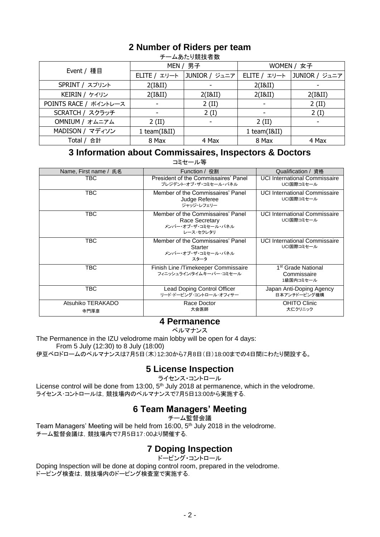## **2 Number of Riders per team**

|                       |              | ノ  ̄ ┻ めノこツ;カスエメ fヨ ヌメ |              |               |  |
|-----------------------|--------------|------------------------|--------------|---------------|--|
|                       |              | MEN / 男子               | WOMEN / 女子   |               |  |
| Event / 種目            | ELITE / エリート | JUNIOR / ジュニア          | ELITE / エリート | JUNIOR / ジュニア |  |
| SPRINT / スプリント        | 2(I&II)      |                        | 2(I&II)      |               |  |
| KEIRIN / ケイリン         | 2(I&II)      | 2(I&II)                | 2(I&II)      | 2(I&II)       |  |
| POINTS RACE / ポイントレース |              | $2$ (II)               |              | $2$ (II)      |  |
| SCRATCH / スクラッチ       |              | 2(I)                   |              | 2(I)          |  |
| OMNIUM / オムニアム        | $2$ (II)     |                        | $2$ (II)     |               |  |
| MADISON / マディソン       | 1 team(I&II) |                        | 1 team(I&II) |               |  |
| Total / 合計            | 8 Max        | 4 Max                  | 8 Max        | 4 Max         |  |

#### <u>キールあたり</u>競技者数

#### **3 Information about Commissaires, Inspectors & Doctors**

コミヤール等

| Name, First name / 氏名     | Function / 役割                                                                           | Qualification / 資格                                         |
|---------------------------|-----------------------------------------------------------------------------------------|------------------------------------------------------------|
| TBC.                      | President of the Commissaires' Panel<br>プレジデント・オブ・ザ・コミセール・パネル                           | <b>UCI International Commissaire</b><br>UCI国際コミセール         |
| <b>TBC</b>                | Member of the Commissaires' Panel<br>Judge Referee<br>ジャッジ・レフェリー                        | <b>UCI International Commissaire</b><br>UCI国際コミセール         |
| TBC                       | Member of the Commissaires' Panel<br>Race Secretary<br>メンバー・オブ・ザ・コミセール・パネル<br>レース・セクレタリ | <b>UCI International Commissaire</b><br>UCI国際コミセール         |
| TBC                       | Member of the Commissaires' Panel<br><b>Starter</b><br>メンバー・オブ・ザ・コミセール・パネル<br>スタータ      | UCI International Commissaire<br>UCI国際コミセール                |
| <b>TBC</b>                | Finish Line /Timekeeper Commissaire<br>フィニッシュライン/タイムキーパー・コミセール                          | 1 <sup>st</sup> Grade National<br>Commissaire<br>1級国内コミセール |
| TBC                       | Lead Doping Control Officer<br>リード・ドーピング・コントロール・オフィサー                                   | Japan Anti-Doping Agency<br>日本アンチドーピング機構                   |
| Atsuhiko TERAKADO<br>寺門厚彦 | Race Doctor<br>大会医師                                                                     | <b>OHITO Clinic</b><br>大仁クリニック                             |

#### **4 Permanence**

ペルマナンス

The Permanence in the IZU velodrome main lobby will be open for 4 days:

From 5 July (12:30) to 8 July (18:00)

伊豆ベロドロームのペルマナンスは7月5日(木)12:30から7月8日(日)18:00までの4日間にわたり開設する。

#### **5 License Inspection**

ライセンス・コントロール

License control will be done from 13:00, 5<sup>th</sup> July 2018 at permanence, which in the velodrome. ライセンス・コントロールは,競技場内のペルマナンスで7月5日13:00から実施する.

### **6 Team Managers' Meeting**

チーム監督会議

Team Managers' Meeting will be held from 16:00, 5<sup>th</sup> July 2018 in the velodrome. チーム監督会議は,競技場内で7月5日17:00より開催する.

### **7 Doping Inspection**

ドーピング・コントロール

Doping Inspection will be done at doping control room, prepared in the velodrome. ドーピング検査は,競技場内のドーピング検査室で実施する.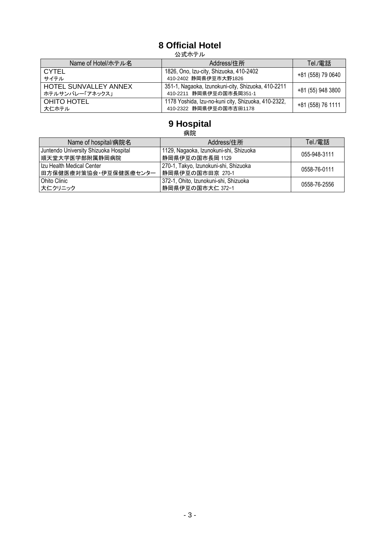# **8 Official Hotel**

公式ホテル

| Name of Hotel/ホテル名                              | Address/住所                                                                     | Tel./電話           |
|-------------------------------------------------|--------------------------------------------------------------------------------|-------------------|
| <b>CYTEL</b><br>サイテル                            | 1826, Ono, Izu-city, Shizuoka, 410-2402<br>410-2402 静岡県伊豆市大野1826               | +81 (558) 79 0640 |
| <b>HOTEL SUNVALLEY ANNEX</b><br>ホテルサンバレー「アネックス」 | 351-1, Nagaoka, Izunokuni-city, Shizuoka, 410-2211<br>410-2211 静岡県伊豆の国市長岡351-1 | +81 (55) 948 3800 |
| OHITO HOTEL<br>大仁ホテル                            | 1178 Yoshida, Izu-no-kuni city, Shizuoka, 410-2322,<br>410-2322 静岡県伊豆の国市吉田1178 | +81 (558) 76 1111 |

# **9 Hospital**

|                                       | 病院                                     |              |
|---------------------------------------|----------------------------------------|--------------|
| Name of hospital/病院名                  | Address/住所                             | Tel./電話      |
| Juntendo University Shizuoka Hospital | 1129, Nagaoka, Izunokuni-shi, Shizuoka | 055-948-3111 |
| 順天堂大学医学部附属静岡病院                        | 静岡県伊豆の国市長岡 1129                        |              |
| Izu Health Medical Center             | 270-1, Takyo, Izunokuni-shi, Shizuoka  | 0558-76-0111 |
| 田方保健医療対策協会・伊豆保健医療センター                 | 静岡県伊豆の国市田京 270-1                       |              |
| Ohito Clinic                          | 372-1, Ohito, Izunokuni-shi, Shizuoka  | 0558-76-2556 |
| 大仁クリニック                               | 静岡県伊豆の国市大仁 372-1                       |              |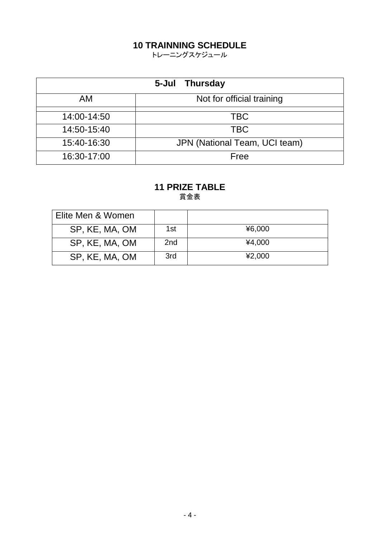## **10 TRAINNING SCHEDULE**

トレーニングスケジュール

| 5-Jul<br><b>Thursday</b> |                               |  |  |  |
|--------------------------|-------------------------------|--|--|--|
| AM                       | Not for official training     |  |  |  |
| 14:00-14:50              | <b>TBC</b>                    |  |  |  |
| 14:50-15:40              | <b>TBC</b>                    |  |  |  |
| 15:40-16:30              | JPN (National Team, UCI team) |  |  |  |
| 16:30-17:00              | Free                          |  |  |  |

#### **11 PRIZE TABLE** 賞金表

| Elite Men & Women |                 |        |
|-------------------|-----------------|--------|
| SP, KE, MA, OM    | 1st             | ¥6,000 |
| SP, KE, MA, OM    | 2 <sub>nd</sub> | ¥4,000 |
| SP, KE, MA, OM    | 3rd             | ¥2,000 |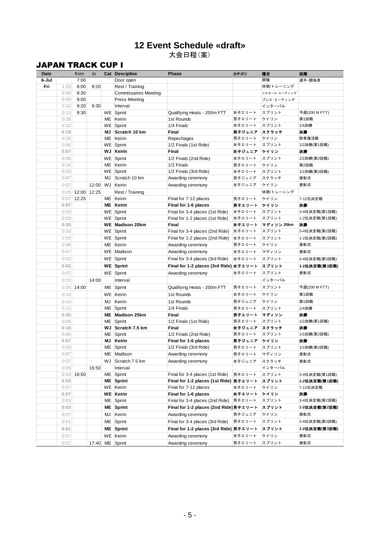#### **12 Event Schedule «draft»** 大会日程(案)

#### JAPAN TRACK CUP I

|       | <b>JAPAN TRACK CUP I</b> |                    |       |    |                             |                                          |              |                   |               |
|-------|--------------------------|--------------------|-------|----|-----------------------------|------------------------------------------|--------------|-------------------|---------------|
| Date  |                          | from               | to    |    | <b>Cat Descipline</b>       | Phase                                    | カテゴリ         | 種目                | 段階            |
| 6-Jul |                          | 7:00               |       |    | Door open                   |                                          |              | 開場                | 選手·関係者        |
| Fri   | 1:20                     | 8:00               | 9:20  |    | Rest / Training             |                                          |              | 休憩/トレーニング         |               |
|       | 0:00                     | 8:30               |       |    | <b>Commissaires Meeting</b> |                                          |              | コミセール·ミーティング      |               |
|       | 0:00                     | 9:00               |       |    | <b>Press Meeting</b>        |                                          |              | プレス・ミーティング        |               |
|       | 0:10                     | 9:20               | 9:30  |    | Interval                    |                                          |              | インターバル            |               |
|       | 0:13                     | 9:30               |       |    | WE Sprint                   | Qualifying Heats - 200m FTT              | 女子エリート       | スプリント             | 予選(200 M FTT) |
|       | 0:28                     |                    |       |    | ME Keirin                   | 1st Rounds                               | 男子エリート       | ケイリン              | 第1回戦          |
|       | 0:12                     |                    |       |    | WE Sprint                   | 1/4 Finals                               | 女子エリート       | スプリント             | 1/4決勝         |
|       | 0:18                     |                    |       |    | MJ Scratch 10 km            | Final                                    | 男子ジュニア スクラッチ |                   | 決勝            |
|       | 0:28                     |                    |       |    | ME Keirin                   | Repechages                               | 男子エリート       | ケイリン              | 敗者復活戦         |
|       | 0:06                     |                    |       |    | WE Sprint                   | 1/2 Finals (1st Ride)                    | 女子エリート       | スプリント             | 1/2決勝(第1回戦)   |
|       | 0:07                     |                    |       |    | <b>WJ</b> Keirin            | Final                                    | 女子ジュニア  ケイリン |                   | 決勝            |
|       | 0:06                     |                    |       |    | WE Sprint                   | 1/2 Finals (2nd Ride)                    | 女子エリート       | スプリント             | 1/2決勝(第2回戦)   |
|       | 0:14                     |                    |       |    | ME Keirin                   | 1/2 Finals                               | 男子エリート       | ケイリン              | 第2回戦          |
|       | 0:03                     |                    |       |    | WE Sprint                   | 1/2 Finals (3rd Ride)                    | 女子エリート       | スプリント             | 1/2決勝(第3回戦)   |
|       | 0:07                     |                    |       |    | MJ Scratch 10 km            | Awarding ceremony                        | 男子ジュニア       | スクラッチ             | 表彰式           |
|       | 0:07                     |                    |       |    | 12:00 WJ Keirin             | Awarding ceremony                        | 女子ジュニア       | ケイリン              | 表彰式           |
|       |                          | $0:25$ 12:00 12:25 |       |    | Rest / Training             |                                          |              | 休憩/トレーニング         |               |
|       |                          |                    |       |    |                             |                                          |              |                   |               |
|       | 0:07                     | 12:25              |       |    | ME Keirin                   | Final for 7-12 places                    | 男子エリート       | ケイリン              | 7-12位決定戦      |
|       | 0:07                     |                    |       |    | <b>ME</b> Keirin            | Final for 1-6 places                     | 男子エリート ケイリン  |                   | 決勝            |
|       | 0:03                     |                    |       |    | WE Sprint                   | Final for 3-4 places (1st Ride)          | 女子エリート       | スプリント             | 3-4位決定戦(第1回戦) |
|       | 0:03                     |                    |       |    | WE Sprint                   | Final for 1-2 places (1st Ride)          | 女子エリート       | スプリント             | 1-2位決定戦(第1回戦) |
|       | 0:35                     |                    |       |    | <b>WE Madison 20km</b>      | Final                                    |              | 女子エリート マディソン 20km | 決勝            |
|       | 0:03                     |                    |       |    | WE Sprint                   | Final for 3-4 places (2nd Ride)   女子エリート |              | スプリント             | 3-4位決定戦(第2回戦) |
|       | 0:03                     |                    |       |    | WE Sprint                   | Final for 1-2 places (2nd Ride)   女子エリート |              | スプリント             | 1-2位決定戦(第2回戦) |
|       | 0:06                     |                    |       |    | ME Keirin                   | Awarding ceremony                        | 男子エリート       | ケイリン              | 表彰式           |
|       | 0:07                     |                    |       |    | WE Madison                  | Awarding ceremony                        | 女子エリート       | マディソン             | 表彰式           |
|       | 0:02                     |                    |       |    | WE Sprint                   | Final for 3-4 places (3rd Ride)   女子エリート |              | スプリント             | 3-4位決定戦(第3回戦) |
|       | 0:02                     |                    |       |    | <b>WE</b> Sprint            | Final for 1-2 places (3rd Ride) 女子エリート   |              | スプリント             | 1-2位決定戦(第3回戦) |
|       | 0:07                     |                    |       |    | WE Sprint                   | Awarding ceremony                        | 女子エリート       | スプリント             | 表彰式           |
|       | 0:10                     |                    | 14:00 |    | Interval                    |                                          |              | インターバル            |               |
|       |                          |                    |       |    |                             |                                          |              |                   |               |
|       |                          | $0:35$ 14:00       |       |    | ME Sprint                   | Qualifying Heats - 200m FTT              | 男子エリート       | スプリント             | 予選(200 M FTT) |
|       | 0:14                     |                    |       |    | WE Keirin                   | 1st Rounds                               | 女子エリート       | ケイリン              | 第1回戦          |
|       | 0:14                     |                    |       | MJ | Keirin                      | 1st Rounds                               | 男子ジュニア       | ケイリン              | 第1回戦          |
|       | 0:12                     |                    |       |    | ME Sprint                   | 1/4 Finals                               | 男子エリート       | スプリント             | 1/4決勝         |
|       | 0:35                     |                    |       |    | ME Madison 25km             | Final                                    | 男子エリート マディソン |                   | 決勝            |
|       | 0:06                     |                    |       |    | ME Sprint                   | 1/2 Finals (1st Ride)                    | 男子エリート       | スプリント             | 1/2決勝(第1回戦)   |
|       | 0:18                     |                    |       |    | WJ Scratch 7.5 km           | Final                                    | 女子ジュニア スクラッチ |                   | 決勝            |
|       | 0:06                     |                    |       |    | ME Sprint                   | 1/2 Finals (2nd Ride)                    | 男子エリート       | スプリント             | 1/2決勝(第2回戦)   |
|       | 0:07                     |                    |       |    | MJ Keirin                   | Final for 1-6 places                     | 男子ジュニア ケイリン  |                   | 決勝            |
|       | 0:03                     |                    |       |    | ME Sprint                   | 1/2 Finals (3rd Ride)                    | 男子エリート       | スプリント             | 1/2決勝(第3回戦)   |
|       | 0:07                     |                    |       |    | ME Madison                  | Awarding ceremony                        | 男子エリート       | マディソン             | 表彰式           |
|       | 0:07                     |                    |       |    | WJ Scratch 7.5 km           | Awarding ceremony                        | 女子ジュニア       | スクラッチ             | 表彰式           |
|       | 0:05                     |                    | 16:50 |    | Interval                    |                                          |              | インターバル            |               |
|       |                          | $0:03$ 16:50       |       |    | ME Sprint                   | Final for 3-4 places (1st Ride)          | 男子エリート       | スプリント             | 3-4位決定戦(第1回戦) |
|       | 0:03                     |                    |       |    | <b>ME</b> Sprint            | Final for 1-2 places (1st Ride) 男子エリート   |              | スプリント             | 1-2位決定戦(第1回戦) |
|       | 0:07                     |                    |       |    | WE Keirin                   | Final for 7-12 places                    | 女子エリート       | ケイリン              | 7-12位決定戦      |
|       | 0:07                     |                    |       |    | <b>WE Keirin</b>            | Final for 1-6 places                     | 女子エリート       | ケイリン              | 決勝            |
|       | 0:03                     |                    |       |    | ME Sprint                   | Final for 3-4 places (2nd Ride) 男子エリート   |              | スプリント             | 3-4位決定戦(第2回戦) |
|       |                          |                    |       |    |                             |                                          |              |                   |               |
|       | 0:03                     |                    |       |    | ME Sprint                   | Final for 1-2 places (2nd Ride)男子エリート    |              | スプリント             | 1-2位決定戦(第2回戦) |
|       | 0:07                     |                    |       |    | MJ Keirin                   | Awarding ceremony                        | 男子ジュニア       | ケイリン              | 表彰式           |
|       | 0:01                     |                    |       |    | ME Sprint                   | Final for 3-4 places (3rd Ride)          | 男子エリート       | スプリント             | 3-4位決定戦(第3回戦) |
|       | 0:01                     |                    |       |    | <b>ME</b> Sprint            | Final for 1-2 places (3rd Ride) 男子エリート   |              | スプリント             | 1-2位決定戦(第3回戦) |
|       | 0:07                     |                    |       |    | WE Keirin                   | Awarding ceremony                        | 女子エリート       | ケイリン              | 表彰式           |
|       | 0:07                     |                    |       |    | 17:40 ME Sprint             | Awarding ceremony                        | 男子エリート       | スプリント             | 表彰式           |
|       |                          |                    |       |    |                             |                                          |              |                   |               |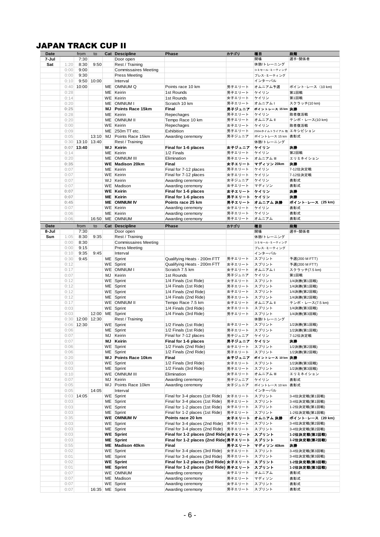## JAPAN TRACK CUP II

| Date<br>7-Jul | JAPAN TRACK CUP II | from               | to         |    | <b>Cat Descipline</b>                               | Phase                                          | カテゴリ             | 種目                          | 段階                               |
|---------------|--------------------|--------------------|------------|----|-----------------------------------------------------|------------------------------------------------|------------------|-----------------------------|----------------------------------|
|               |                    | 7:30               |            |    | Door open                                           |                                                |                  | 開場                          | 選手·関係者                           |
| Sat           | 1:20               | 8:30               | 9:50       |    | Rest / Training                                     |                                                |                  | 休憩/トレーニング                   |                                  |
|               | 0:00               | 9:00               |            |    | <b>Commissaires Meeting</b>                         |                                                |                  | コミセール·ミーティング                |                                  |
|               | 0:00               | 9:30               |            |    | <b>Press Meeting</b>                                |                                                |                  | プレス・ミーティング                  |                                  |
|               | 0:10               |                    | 9:50 10:00 |    | Interval                                            |                                                |                  | インターバル                      |                                  |
|               |                    | $0:40$ 10:00       |            |    | ME OMNIUM Q                                         | Points race 10 km                              | 男子エリート           | オムニアム予選                     | ポイント・レース (10 km)                 |
|               | 0:28               |                    |            |    | ME Keirin                                           | 1st Rounds                                     | 男子エリート           | ケイリン                        | 第1回戦                             |
|               | 0:14               |                    |            |    | WE Keirin                                           | 1st Rounds                                     | 女子エリート           | ケイリン                        | 第1回戦                             |
|               | 0:20               |                    |            |    | ME OMNIUM I                                         | Scratch 10 km                                  | 男子エリート           | オムニアムー                      | スクラッチ(10 km)                     |
|               | 0:25               |                    |            | МJ | Points Race 15km                                    | Final                                          | 男子ジュニア           | ポイントレース 15 km 決勝            |                                  |
|               | 0:28               |                    |            |    | ME Keirin                                           | Repechages                                     | 男子エリート           | ケイリン                        | 敗者復活戦                            |
|               | 0:20               |                    |            |    | ME OMNIUM II                                        | Tempo Race 10 km                               | 男子エリート           | オムニアム II                    | テンポ・レース(10 km)                   |
|               | 0:00               |                    |            |    | WE Keirin                                           | Repechages                                     | 女子エリート           | ケイリン                        | 敗者復活戦                            |
|               | 0:09               |                    |            |    | $ME$ 250m TT etc.                                   | Exhibition                                     | 男子エリート           | 250mタイムトライアル 他 エキシビション      |                                  |
|               | 0:05               |                    | 13:10      | MJ | Points Race 15km                                    | Awarding ceremony                              | 男子ジュニア           | ポイントレース 15 km 表彰式           |                                  |
|               |                    | $0:30$ 13:10 13:40 |            |    | Rest / Training                                     |                                                |                  | 休憩/トレーニング                   |                                  |
|               |                    | $0:07$ 13:40       |            |    | <b>WJ</b> Keirin                                    | Final for 1-6 places<br>1/2 Finals             | 女子ジュニア           | ケイリン                        | 決勝                               |
|               | 0:14               |                    |            |    | ME Keirin<br>ME OMNIUM III                          | Elimination                                    | 男子エリート           | ケイリン<br>オムニアム III           | 第2回戦<br>エリミネイション                 |
|               | 0:20<br>0:35       |                    |            |    | <b>WE Madison 20km</b>                              | Final                                          | 男子エリート<br>女子エリート | マディソン 20km                  | 決勝                               |
|               | 0:07               |                    |            |    | ME Keirin                                           |                                                | 男子エリート           | ケイリン                        | 7-12位決定戦                         |
|               | 0:07               |                    |            |    | WE Keirin                                           | Final for 7-12 places<br>Final for 7-12 places | 女子エリート           | ケイリン                        | 7-12位決定戦                         |
|               | 0:07               |                    |            |    | WJ Keirin                                           | Awarding ceremony                              | 女子ジュニア           | ケイリン                        | 表彰式                              |
|               | 0:07               |                    |            |    | WE Madison                                          | Awarding ceremony                              | 女子エリート           | マディソン                       | 表彰式                              |
|               | 0:07               |                    |            |    | <b>WE Keirin</b>                                    | Final for 1-6 places                           | 女子エリート           | ケイリン                        | 決勝                               |
|               | 0:07               |                    |            |    | <b>ME</b> Keirin                                    | Final for 1-6 places                           | 男子エリート           | ケイリン                        | 決勝                               |
|               | 0:45               |                    |            |    | <b>ME OMNIUM IV</b>                                 | Points race 25 km                              | 男子エリート           | オムニアム 決勝                    | ポイント・レース(25 km)                  |
|               | 0:07               |                    |            |    | WE Keirin                                           | Awarding ceremony                              | 女子エリート           | ケイリン                        | 表彰式                              |
|               | 0:06               |                    |            |    | ME Keirin                                           | Awarding ceremony                              | 男子エリート           | ケイリン                        | 表彰式                              |
|               | 0:06               |                    | 16:50      |    | ME OMNIUM                                           | Awarding ceremony                              | 男子エリート           | オムニアム                       | 表彰式                              |
| Date          |                    |                    |            |    | <b>Cat Descipline</b>                               | Phase                                          |                  |                             |                                  |
| 8-Jul         |                    | from<br>7:30       | to         |    |                                                     |                                                | カテゴリ             | 種目<br>開場                    | 段階<br>選手·関係者                     |
|               | 1:05               | 8:30               | 9:35       |    | Door open                                           |                                                |                  | 休憩/トレーニング                   |                                  |
| Sun           | 0:00               | 8:30               |            |    | Rest / Training                                     |                                                |                  | コミセール·ミーティング                |                                  |
|               | 0:00               | 9:15               |            |    | <b>Commissaires Meeting</b><br><b>Press Meeting</b> |                                                |                  | プレス・ミーティング                  |                                  |
|               | 0:10               | 9:35               | 9:45       |    | Interval                                            |                                                |                  | インターバル                      |                                  |
|               |                    |                    |            |    |                                                     |                                                | 男子エリート           | スプリント                       |                                  |
|               | 0:30               | 9:45               |            |    | ME Sprint                                           | Qualifying Heats - 200m FTT                    | 女子エリート           | スプリント                       | 予選(200 M FTT)                    |
|               | 0:12<br>0:17       |                    |            |    | WE Sprint<br>WE OMNIUM I                            | Qualifying Heats - 200m FTT<br>Scratch 7.5 km  | 女子エリート           | オムニアムト                      | 予選(200 M FTT)                    |
|               | 0:07               |                    |            | MJ | Keirin                                              | 1st Rounds                                     | 男子ジュニア           | ケイリン                        | スクラッチ(7.5 km)<br>第1回戦            |
|               | 0:12               |                    |            |    | WE Sprint                                           | 1/4 Finals (1st Ride)                          | 女子エリート           | スプリント                       | 1/4決勝(第1回戦)                      |
|               | 0:12               |                    |            |    | ME Sprint                                           | 1/4 Finals (1st Ride)                          | 男子エリート           | スプリント                       | 1/4決勝(第1回戦)                      |
|               | 0:12               |                    |            |    | WE Sprint                                           | 1/4 Finals (2nd Ride)                          | 女子エリート           | スプリント                       | 1/4決勝(第2回戦)                      |
|               | 0:12               |                    |            |    | ME Sprint                                           | 1/4 Finals (2nd Ride)                          | 男子エリート           | スプリント                       | 1/4決勝(第2回戦)                      |
|               | 0:17               |                    |            |    | WE OMNIUM II                                        | Tempo Race 7.5 km                              | 女子エリート           | オムニアム II                    | テンポ・レース(7.5 km)                  |
|               | 0:03               |                    |            |    | WE Sprint                                           | 1/4 Finals (3rd Ride)                          | 女子エリート           | スプリント                       | 1/4決勝(第3回戦)                      |
|               | 0:03               |                    |            |    | 12:00 ME Sprint                                     | 1/4 Finals (3rd Ride)                          | 男子エリート           | スプリント                       | 1/4決勝(第3回戦)                      |
|               |                    | $0:30$ 12:00 12:30 |            |    | Rest / Training                                     |                                                |                  | 休憩/トレーニング                   |                                  |
|               |                    | $0:06$ 12:30       |            |    | WE Sprint                                           | 1/2 Finals (1st Ride)                          | 女子エリート           | スプリント                       | 1/2決勝(第1回戦)                      |
|               | 0:06               |                    |            |    | ME Sprint                                           | 1/2 Finals (1st Ride)                          | 男子エリート           | スプリント                       | 1/2決勝(第1回戦)                      |
|               | 0:07               |                    |            |    | MJ Keirin                                           | Final for 7-12 places                          | 男子ジュニア           | ケイリン                        | 7-12位決定戦                         |
|               | 0:07               |                    |            | ΜJ | Keirin                                              | Final for 1-6 places                           | 男子ジュニア           | ケイリン                        | 決勝                               |
|               | 0:06               |                    |            |    | WE Sprint                                           | 1/2 Finals (2nd Ride)                          | 女子エリート           | スプリント                       | 1/2決勝(第2回戦)                      |
|               | 0:06               |                    |            |    | ME Sprint                                           | 1/2 Finals (2nd Ride)                          | 男子エリート           | スプリント                       | 1/2決勝(第2回戦)                      |
|               |                    |                    |            |    | WJ Points Race 10km                                 | Final                                          | 女子ジュニア           |                             |                                  |
|               |                    |                    |            |    |                                                     |                                                |                  |                             | 1/2決勝(第3回戦)                      |
|               | 0:20               |                    |            |    |                                                     |                                                |                  | ポイントレース 10 km 決勝            |                                  |
|               | 0:03               |                    |            |    | WE Sprint                                           | 1/2 Finals (3rd Ride)                          | 女子エリート           | スプリント                       |                                  |
|               | 0:03               |                    |            |    | ME Sprint                                           | 1/2 Finals (3rd Ride)<br>Elimination           | 男子エリート<br>女子エリート | スプリント                       | 1/2決勝(第3回戦)                      |
|               | 0:10               |                    |            |    | WE OMNIUM III                                       |                                                | 男子ジュニア           | オムニアム III<br>ケイリン           | エリミネイション<br>表彰式                  |
|               | 0:07               |                    |            | MJ | Keirin                                              | Awarding ceremony                              |                  |                             |                                  |
|               | 0:05               |                    | 14:05      |    | WJ Points Race 10km                                 | Awarding ceremony                              | 女子ジュニア           | ポイントレース 10 km 表彰式<br>インターバル |                                  |
|               | 0:05               |                    |            |    | Interval                                            |                                                | 女子エリート           | スプリント                       |                                  |
|               |                    | $0:03$ 14:05       |            |    | WE Sprint                                           | Final for 3-4 places (1st Ride)                |                  |                             | 3-4位決定戦(第1回戦)                    |
|               | 0:03               |                    |            |    | ME Sprint                                           | Final for 3-4 places (1st Ride)                | 男子エリート           | スプリント<br>スプリント              | 3-4位決定戦(第1回戦)                    |
|               | 0:03               |                    |            |    | WE Sprint                                           | Final for 1-2 places (1st Ride)                | 女子エリート           |                             | 1-2位決定戦(第1回戦)                    |
|               | 0:03               |                    |            |    | ME Sprint                                           | Final for 1-2 places (1st Ride)                | 男子エリート           | スプリント                       | 1-2位決定戦(第1回戦)                    |
|               | 0:35               |                    |            |    | <b>WE OMNIUM IV</b>                                 | Points race 20 km                              | 女子エリート           | オムニアム 決勝                    |                                  |
|               | 0:03               |                    |            |    | WE Sprint                                           | Final for 3-4 places (2nd Ride)   女子エリート       |                  | スプリント                       | 3-4位決定戦(第2回戦)                    |
|               | 0:03               |                    |            |    | ME Sprint                                           | Final for 3-4 places (2nd Ride) 男子エリート         |                  | スプリント                       | 3-4位決定戦(第2回戦)                    |
|               | 0:03               |                    |            |    | <b>WE</b> Sprint                                    | Final for 1-2 places (2nd Ride)女子エリート          |                  | スプリント                       | 1-2位決定戦(第2回戦)                    |
|               | 0:03               |                    |            |    | ME Sprint                                           | Final for 1-2 places (2nd Ride)男子エリート          |                  | スプリント                       | 1-2位決定戦(第2回戦)                    |
|               | 0:55               |                    |            |    | ME Madison 40km                                     | Final                                          | 男子エリート           | マディソン 40km                  | 決勝                               |
|               | 0:02               |                    |            |    | WE Sprint                                           | Final for 3-4 places (3rd Ride)                | 女子エリート           | スプリント                       | 3-4位決定戦(第3回戦)                    |
|               | 0:01               |                    |            |    | ME Sprint                                           | Final for 3-4 places (3rd Ride)                | 男子エリート           | スプリント                       | 3-4位決定戦(第3回戦)                    |
|               | 0:02               |                    |            |    | <b>WE Sprint</b>                                    | Final for 1-2 places (3rd Ride) 女子エリート         |                  | スプリント                       | ポイント レース(20 km)<br>1-2位決定戦(第3回戦) |
|               | 0:01               |                    |            |    | ME Sprint                                           | Final for 1-2 places (3rd Ride) 男子エリート         |                  | スプリント                       | 1-2位決定戦(第3回戦)                    |
|               | 0:07               |                    |            |    | WE OMNIUM                                           | Awarding ceremony                              | 女子エリート           | オムニアム                       | 表彰式                              |
|               | 0:07<br>0:07       |                    |            |    | ME Madison<br>WE Sprint                             | Awarding ceremony<br>Awarding ceremony         | 男子エリート<br>女子エリート | マディソン<br>スプリント              | 表彰式<br>表彰式                       |